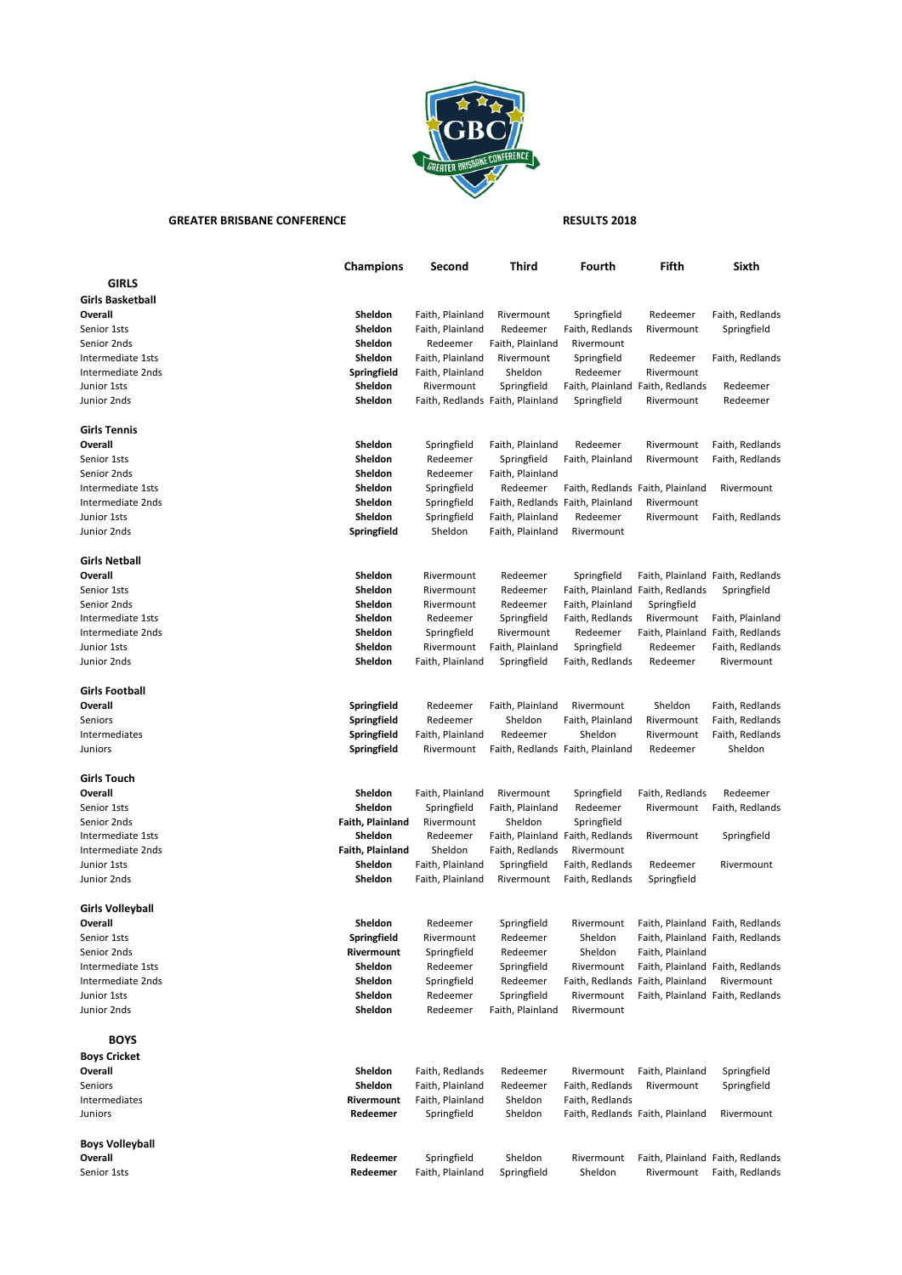

## GREATER BRISBANE CONFERENCE **RESULTS 2018**

|                                    | <b>Champions</b>            | Second                               | Third                            | Fourth                             | Fifth                            | Sixth                            |
|------------------------------------|-----------------------------|--------------------------------------|----------------------------------|------------------------------------|----------------------------------|----------------------------------|
| <b>GIRLS</b>                       |                             |                                      |                                  |                                    |                                  |                                  |
| <b>Girls Basketball</b>            |                             |                                      |                                  |                                    |                                  |                                  |
| Overall                            | Sheldon                     | Faith, Plainland                     | Rivermount                       | Springfield                        | Redeemer                         | Faith, Redlands                  |
| Senior 1sts                        | Sheldon                     | Faith, Plainland                     | Redeemer                         | Faith, Redlands                    | Rivermount                       | Springfield                      |
| Senior 2nds                        | Sheldon                     | Redeemer                             | Faith, Plainland                 | Rivermount                         |                                  |                                  |
| Intermediate 1sts                  | Sheldon                     | Faith, Plainland                     | Rivermount                       | Springfield                        | Redeemer                         | Faith, Redlands                  |
| Intermediate 2nds                  |                             |                                      | Sheldon                          | Redeemer                           | Rivermount                       |                                  |
|                                    | Springfield                 | Faith, Plainland<br>Rivermount       |                                  |                                    |                                  |                                  |
| Junior 1sts                        | Sheldon                     |                                      | Springfield                      |                                    | Faith, Plainland Faith, Redlands | Redeemer                         |
| Junior 2nds                        | Sheldon                     |                                      | Faith, Redlands Faith, Plainland | Springfield                        | Rivermount                       | Redeemer                         |
| <b>Girls Tennis</b>                |                             |                                      |                                  |                                    |                                  |                                  |
| Overall                            | Sheldon                     | Springfield                          | Faith, Plainland                 | Redeemer                           | Rivermount                       | Faith, Redlands                  |
| Senior 1sts                        | Sheldon                     | Redeemer                             | Springfield                      | Faith, Plainland                   | Rivermount                       | Faith, Redlands                  |
| Senior 2nds                        | Sheldon                     | Redeemer                             | Faith, Plainland                 |                                    |                                  |                                  |
| Intermediate 1sts                  | Sheldon                     | Springfield                          | Redeemer                         |                                    | Faith, Redlands Faith, Plainland | Rivermount                       |
| Intermediate 2nds                  | Sheldon                     | Springfield                          |                                  | Faith, Redlands Faith, Plainland   | Rivermount                       |                                  |
| Junior 1sts                        | Sheldon                     | Springfield                          | Faith, Plainland                 | Redeemer                           | Rivermount                       | Faith, Redlands                  |
| Junior 2nds                        | Springfield                 | Sheldon                              | Faith, Plainland                 | Rivermount                         |                                  |                                  |
|                                    |                             |                                      |                                  |                                    |                                  |                                  |
| <b>Girls Netball</b><br>Overall    | Sheldon                     | Rivermount                           | Redeemer                         | Springfield                        |                                  | Faith, Plainland Faith, Redlands |
| Senior 1sts                        | <b>Sheldon</b>              | Rivermount                           | Redeemer                         |                                    | Faith, Plainland Faith, Redlands | Springfield                      |
| Senior 2nds                        | Sheldon                     | Rivermount                           | Redeemer                         | Faith, Plainland                   | Springfield                      |                                  |
| Intermediate 1sts                  | Sheldon                     | Redeemer                             | Springfield                      | Faith, Redlands                    | Rivermount                       | Faith, Plainland                 |
| Intermediate 2nds                  | Sheldon                     |                                      | Rivermount                       |                                    |                                  |                                  |
| Junior 1sts                        | <b>Sheldon</b>              | Springfield                          |                                  | Redeemer                           |                                  | Faith, Plainland Faith, Redlands |
|                                    | Sheldon                     | Rivermount<br>Faith, Plainland       | Faith, Plainland                 | Springfield                        | Redeemer<br>Redeemer             | Faith, Redlands<br>Rivermount    |
| Junior 2nds                        |                             |                                      | Springfield                      | Faith, Redlands                    |                                  |                                  |
| <b>Girls Football</b>              |                             |                                      |                                  |                                    |                                  |                                  |
| Overall                            | Springfield                 | Redeemer                             | Faith, Plainland                 | Rivermount                         | Sheldon                          | Faith, Redlands                  |
| Seniors                            | Springfield                 | Redeemer                             | Sheldon                          | Faith, Plainland                   | Rivermount                       | Faith, Redlands                  |
| Intermediates                      | Springfield                 | Faith, Plainland                     | Redeemer                         | Sheldon                            | Rivermount                       | Faith, Redlands                  |
| Juniors                            | Springfield                 | Rivermount                           |                                  | Faith, Redlands Faith, Plainland   | Redeemer                         | Sheldon                          |
|                                    |                             |                                      |                                  |                                    |                                  |                                  |
| <b>Girls Touch</b>                 |                             |                                      |                                  |                                    |                                  |                                  |
| Overall                            | Sheldon                     | Faith, Plainland                     | Rivermount                       | Springfield                        | Faith, Redlands                  | Redeemer                         |
| Senior 1sts                        | Sheldon                     | Springfield                          | Faith, Plainland                 | Redeemer                           | Rivermount                       | Faith, Redlands                  |
| Senior 2nds                        | Faith, Plainland            | Rivermount                           | Sheldon                          | Springfield                        |                                  |                                  |
| Intermediate 1sts                  | Sheldon                     | Redeemer                             |                                  | Faith, Plainland Faith, Redlands   | Rivermount                       | Springfield                      |
| Intermediate 2nds                  | Faith, Plainland<br>Sheldon | Sheldon                              | Faith, Redlands                  | Rivermount                         |                                  |                                  |
| Junior 1sts                        |                             | Faith, Plainland                     | Springfield                      | Faith, Redlands                    | Redeemer                         | Rivermount                       |
| Junior 2nds                        | Sheldon                     | Faith, Plainland                     | Rivermount                       | Faith, Redlands                    | Springfield                      |                                  |
| Girls Volleyball                   |                             |                                      |                                  |                                    |                                  |                                  |
| Overall                            | Sheldon                     | Redeemer                             | Springfield                      | Rivermount                         |                                  | Faith, Plainland Faith, Redlands |
| Senior 1sts                        | Springfield                 | Rivermount                           | Redeemer                         | Sheldon                            |                                  | Faith, Plainland Faith, Redlands |
| Senior 2nds                        | Rivermount                  | Springfield                          | Redeemer                         | Sheldon                            | Faith, Plainland                 |                                  |
| Intermediate 1sts                  | Sheldon                     | Redeemer                             | Springfield                      | Rivermount                         |                                  | Faith, Plainland Faith, Redlands |
| Intermediate 2nds                  | Sheldon                     | Springfield                          | Redeemer                         |                                    | Faith, Redlands Faith, Plainland | Rivermount                       |
| Junior 1sts                        | Sheldon                     | Redeemer                             | Springfield                      | Rivermount                         |                                  | Faith, Plainland Faith, Redlands |
| Junior 2nds                        | Sheldon                     | Redeemer                             | Faith, Plainland                 | Rivermount                         |                                  |                                  |
|                                    |                             |                                      |                                  |                                    |                                  |                                  |
| <b>BOYS</b><br><b>Boys Cricket</b> |                             |                                      |                                  |                                    |                                  |                                  |
| Overall                            | Sheldon                     | Faith, Redlands                      | Redeemer                         | Rivermount                         | Faith, Plainland                 | Springfield                      |
|                                    |                             |                                      |                                  |                                    |                                  |                                  |
| Seniors<br>Intermediates           | Sheldon<br>Rivermount       | Faith, Plainland<br>Faith, Plainland | Redeemer<br>Sheldon              | Faith, Redlands<br>Faith, Redlands | Rivermount                       | Springfield                      |
| Juniors                            | Redeemer                    | Springfield                          | Sheldon                          |                                    | Faith, Redlands Faith, Plainland | Rivermount                       |
|                                    |                             |                                      |                                  |                                    |                                  |                                  |
| Boys Volleyball                    |                             |                                      |                                  |                                    |                                  |                                  |
| Overall                            | Redeemer                    | Springfield                          | Sheldon                          | Rivermount                         |                                  | Faith, Plainland Faith, Redlands |
| Senior 1sts                        | Redeemer                    | Faith, Plainland                     | Springfield                      | Sheldon                            | Rivermount                       | Faith, Redlands                  |